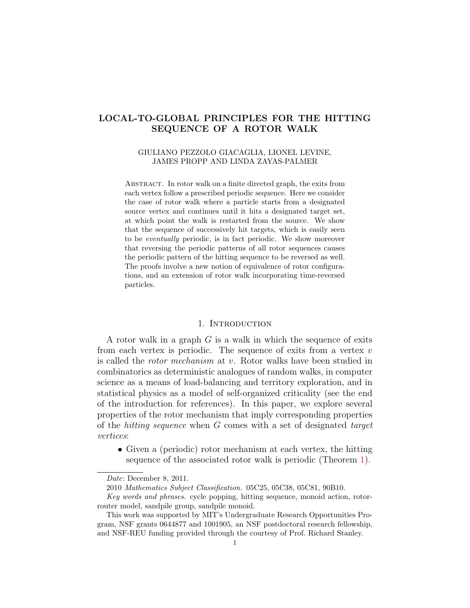# LOCAL-TO-GLOBAL PRINCIPLES FOR THE HITTING SEQUENCE OF A ROTOR WALK

## GIULIANO PEZZOLO GIACAGLIA, LIONEL LEVINE, JAMES PROPP AND LINDA ZAYAS-PALMER

ABSTRACT. In rotor walk on a finite directed graph, the exits from each vertex follow a prescribed periodic sequence. Here we consider the case of rotor walk where a particle starts from a designated source vertex and continues until it hits a designated target set, at which point the walk is restarted from the source. We show that the sequence of successively hit targets, which is easily seen to be eventually periodic, is in fact periodic. We show moreover that reversing the periodic patterns of all rotor sequences causes the periodic pattern of the hitting sequence to be reversed as well. The proofs involve a new notion of equivalence of rotor configurations, and an extension of rotor walk incorporating time-reversed particles.

#### 1. INTRODUCTION

<span id="page-0-0"></span>A rotor walk in a graph G is a walk in which the sequence of exits from each vertex is periodic. The sequence of exits from a vertex  $v$ is called the rotor mechanism at v. Rotor walks have been studied in combinatorics as deterministic analogues of random walks, in computer science as a means of load-balancing and territory exploration, and in statistical physics as a model of self-organized criticality (see the end of the introduction for references). In this paper, we explore several properties of the rotor mechanism that imply corresponding properties of the hitting sequence when G comes with a set of designated target vertices:

• Given a (periodic) rotor mechanism at each vertex, the hitting sequence of the associated rotor walk is periodic (Theorem [1\)](#page-2-0).

Date: December 8, 2011.

<sup>2010</sup> Mathematics Subject Classification. 05C25, 05C38, 05C81, 90B10.

Key words and phrases. cycle popping, hitting sequence, monoid action, rotorrouter model, sandpile group, sandpile monoid.

This work was supported by MIT's Undergraduate Research Opportunities Program, NSF grants 0644877 and 1001905, an NSF postdoctoral research fellowship, and NSF-REU funding provided through the courtesy of Prof. Richard Stanley.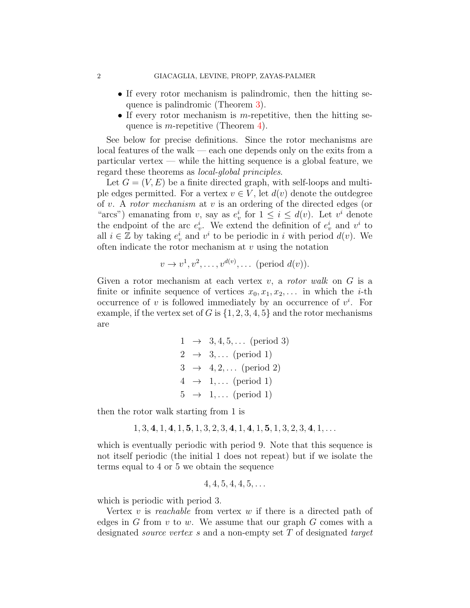- If every rotor mechanism is palindromic, then the hitting sequence is palindromic (Theorem [3\)](#page-3-0).
- If every rotor mechanism is m-repetitive, then the hitting sequence is *m*-repetitive (Theorem [4\)](#page-4-0).

See below for precise definitions. Since the rotor mechanisms are local features of the walk — each one depends only on the exits from a  $particular vertex$  — while the hitting sequence is a global feature, we regard these theorems as local-global principles.

Let  $G = (V, E)$  be a finite directed graph, with self-loops and multiple edges permitted. For a vertex  $v \in V$ , let  $d(v)$  denote the outdegree of v. A rotor mechanism at v is an ordering of the directed edges (or "arcs") emanating from v, say as  $e_v^i$  for  $1 \leq i \leq d(v)$ . Let  $v^i$  denote the endpoint of the arc  $e_v^i$ . We extend the definition of  $e_v^i$  and  $v^i$  to all  $i \in \mathbb{Z}$  by taking  $e_v^i$  and  $v^i$  to be periodic in i with period  $d(v)$ . We often indicate the rotor mechanism at  $v$  using the notation

$$
v \to v^1, v^2, \dots, v^{d(v)}, \dots
$$
 (period  $d(v)$ ).

Given a rotor mechanism at each vertex  $v$ , a *rotor walk* on  $G$  is a finite or infinite sequence of vertices  $x_0, x_1, x_2, \ldots$  in which the *i*-th occurrence of v is followed immediately by an occurrence of  $v^i$ . For example, if the vertex set of G is  $\{1, 2, 3, 4, 5\}$  and the rotor mechanisms are

```
1 \rightarrow 3, 4, 5, \ldots \text{ (period 3)}2 \rightarrow 3, \ldots (period 1)
3 \rightarrow 4, 2, \ldots (period 2)
4 \rightarrow 1, \ldots (period 1)
5 \rightarrow 1, \ldots (period 1)
```
then the rotor walk starting from 1 is

$$
1, 3, 4, 1, 4, 1, 5, 1, 3, 2, 3, 4, 1, 4, 1, 5, 1, 3, 2, 3, 4, 1, \ldots
$$

which is eventually periodic with period 9. Note that this sequence is not itself periodic (the initial 1 does not repeat) but if we isolate the terms equal to 4 or 5 we obtain the sequence

$$
4, 4, 5, 4, 4, 5, \ldots
$$

which is periodic with period 3.

Vertex  $v$  is reachable from vertex  $w$  if there is a directed path of edges in G from  $v$  to  $w$ . We assume that our graph  $G$  comes with a designated *source vertex s* and a non-empty set T of designated *target*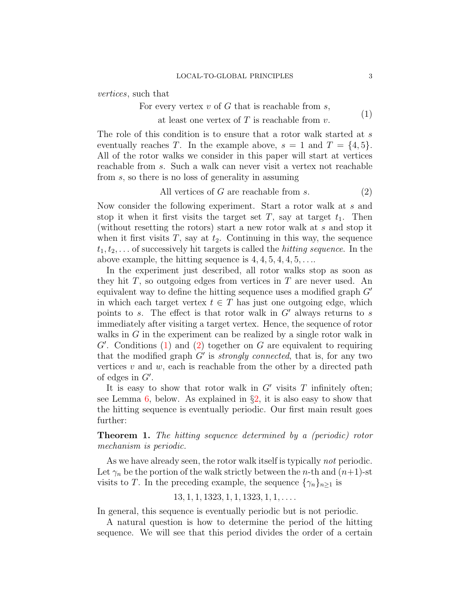<span id="page-2-1"></span>vertices, such that

For every vertex  $v$  of  $G$  that is reachable from  $s$ , at least one vertex of  $T$  is reachable from  $v$ . (1)

The role of this condition is to ensure that a rotor walk started at  $s$ eventually reaches T. In the example above,  $s = 1$  and  $T = \{4, 5\}.$ All of the rotor walks we consider in this paper will start at vertices reachable from s. Such a walk can never visit a vertex not reachable from s, so there is no loss of generality in assuming

<span id="page-2-2"></span>All vertices of 
$$
G
$$
 are reachable from  $s$ . (2)

Now consider the following experiment. Start a rotor walk at s and stop it when it first visits the target set  $T$ , say at target  $t_1$ . Then (without resetting the rotors) start a new rotor walk at s and stop it when it first visits  $T$ , say at  $t_2$ . Continuing in this way, the sequence  $t_1, t_2, \ldots$  of successively hit targets is called the *hitting sequence*. In the above example, the hitting sequence is  $4, 4, 5, 4, 4, 5, \ldots$ 

In the experiment just described, all rotor walks stop as soon as they hit  $T$ , so outgoing edges from vertices in  $T$  are never used. An equivalent way to define the hitting sequence uses a modified graph  $G'$ in which each target vertex  $t \in T$  has just one outgoing edge, which points to s. The effect is that rotor walk in  $G'$  always returns to s immediately after visiting a target vertex. Hence, the sequence of rotor walks in  $G$  in the experiment can be realized by a single rotor walk in  $G'$ . Conditions  $(1)$  and  $(2)$  together on G are equivalent to requiring that the modified graph  $G'$  is *strongly connected*, that is, for any two vertices  $v$  and  $w$ , each is reachable from the other by a directed path of edges in  $G'$ .

It is easy to show that rotor walk in  $G'$  visits  $T$  infinitely often; see Lemma [6,](#page-7-0) below. As explained in  $\S2$ , it is also easy to show that the hitting sequence is eventually periodic. Our first main result goes further:

<span id="page-2-0"></span>Theorem 1. The hitting sequence determined by a (periodic) rotor mechanism is periodic.

As we have already seen, the rotor walk itself is typically *not* periodic. Let  $\gamma_n$  be the portion of the walk strictly between the *n*-th and  $(n+1)$ -st visits to T. In the preceding example, the sequence  $\{\gamma_n\}_{n\geq 1}$  is

 $13, 1, 1, 1323, 1, 1, 1323, 1, 1, \ldots$ 

In general, this sequence is eventually periodic but is not periodic.

A natural question is how to determine the period of the hitting sequence. We will see that this period divides the order of a certain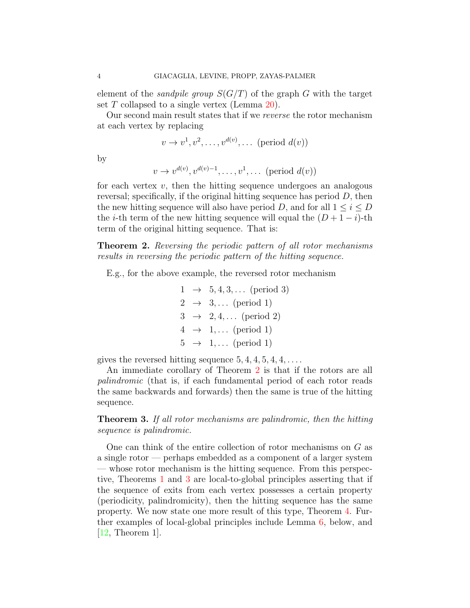element of the *sandpile group*  $S(G/T)$  of the graph G with the target set  $T$  collapsed to a single vertex (Lemma [20\)](#page-17-0).

Our second main result states that if we reverse the rotor mechanism at each vertex by replacing

$$
v \to v^1, v^2, \ldots, v^{d(v)}, \ldots
$$
 (period  $d(v)$ )

by

$$
v \to v^{d(v)}, v^{d(v)-1}, \dots, v^1, \dots \text{ (period } d(v))
$$

for each vertex  $v$ , then the hitting sequence undergoes an analogous reversal; specifically, if the original hitting sequence has period  $D$ , then the new hitting sequence will also have period D, and for all  $1 \leq i \leq D$ the *i*-th term of the new hitting sequence will equal the  $(D + 1 - i)$ -th term of the original hitting sequence. That is:

<span id="page-3-1"></span>Theorem 2. Reversing the periodic pattern of all rotor mechanisms results in reversing the periodic pattern of the hitting sequence.

E.g., for the above example, the reversed rotor mechanism

$$
1 \rightarrow 5, 4, 3, \dots \text{ (period 3)}
$$
  
\n
$$
2 \rightarrow 3, \dots \text{ (period 1)}
$$
  
\n
$$
3 \rightarrow 2, 4, \dots \text{ (period 2)}
$$
  
\n
$$
4 \rightarrow 1, \dots \text{ (period 1)}
$$
  
\n
$$
5 \rightarrow 1, \dots \text{ (period 1)}
$$

gives the reversed hitting sequence  $5, 4, 4, 5, 4, 4, \ldots$ .

An immediate corollary of Theorem [2](#page-3-1) is that if the rotors are all palindromic (that is, if each fundamental period of each rotor reads the same backwards and forwards) then the same is true of the hitting sequence.

<span id="page-3-0"></span>**Theorem 3.** If all rotor mechanisms are palindromic, then the hitting sequence is palindromic.

One can think of the entire collection of rotor mechanisms on G as a single rotor — perhaps embedded as a component of a larger system — whose rotor mechanism is the hitting sequence. From this perspective, Theorems [1](#page-2-0) and [3](#page-3-0) are local-to-global principles asserting that if the sequence of exits from each vertex possesses a certain property (periodicity, palindromicity), then the hitting sequence has the same property. We now state one more result of this type, Theorem [4.](#page-4-0) Further examples of local-global principles include Lemma [6,](#page-7-0) below, and [\[12,](#page-24-0) Theorem 1].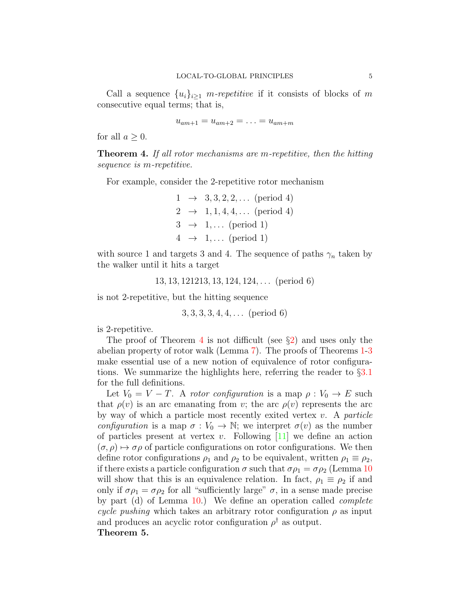Call a sequence  $\{u_i\}_{i\geq 1}$  m-repetitive if it consists of blocks of m consecutive equal terms; that is,

 $u_{am+1} = u_{am+2} = \ldots = u_{am+m}$ 

for all  $a \geq 0$ .

<span id="page-4-0"></span>**Theorem 4.** If all rotor mechanisms are m-repetitive, then the hitting sequence is m-repetitive.

For example, consider the 2-repetitive rotor mechanism

 $1 \rightarrow 3, 3, 2, 2, \ldots$  (period 4)  $2 \rightarrow 1, 1, 4, 4, \ldots$  (period 4)  $3 \rightarrow 1, \ldots$  (period 1)  $4 \rightarrow 1, \ldots$  (period 1)

with source 1 and targets 3 and 4. The sequence of paths  $\gamma_n$  taken by the walker until it hits a target

13, 13, 121213, 13, 124, 124, . . . (period 6)

is not 2-repetitive, but the hitting sequence

3, 3, 3, 3, 4, 4, . . . (period 6)

is 2-repetitive.

The proof of Theorem [4](#page-4-0) is not difficult (see  $\S2$ ) and uses only the abelian property of rotor walk (Lemma [7\)](#page-8-0). The proofs of Theorems [1-](#page-2-0)[3](#page-3-0) make essential use of a new notion of equivalence of rotor configurations. We summarize the highlights here, referring the reader to  $\S 3.1$  $\S 3.1$ for the full definitions.

Let  $V_0 = V - T$ . A rotor configuration is a map  $\rho : V_0 \to E$  such that  $\rho(v)$  is an arc emanating from v; the arc  $\rho(v)$  represents the arc by way of which a particle most recently exited vertex  $v$ . A particle configuration is a map  $\sigma : V_0 \to \mathbb{N}$ ; we interpret  $\sigma(v)$  as the number of particles present at vertex v. Following  $[11]$  we define an action  $(\sigma, \rho) \mapsto \sigma \rho$  of particle configurations on rotor configurations. We then define rotor configurations  $\rho_1$  and  $\rho_2$  to be equivalent, written  $\rho_1 \equiv \rho_2$ , if there exists a particle configuration  $\sigma$  such that  $\sigma \rho_1 = \sigma \rho_2$  (Lemma [10](#page-12-1)) will show that this is an equivalence relation. In fact,  $\rho_1 \equiv \rho_2$  if and only if  $\sigma \rho_1 = \sigma \rho_2$  for all "sufficiently large"  $\sigma$ , in a sense made precise by part (d) of Lemma [10.](#page-12-1)) We define an operation called complete cycle pushing which takes an arbitrary rotor configuration  $\rho$  as input and produces an acyclic rotor configuration  $\rho^{\dagger}$  as output. Theorem 5.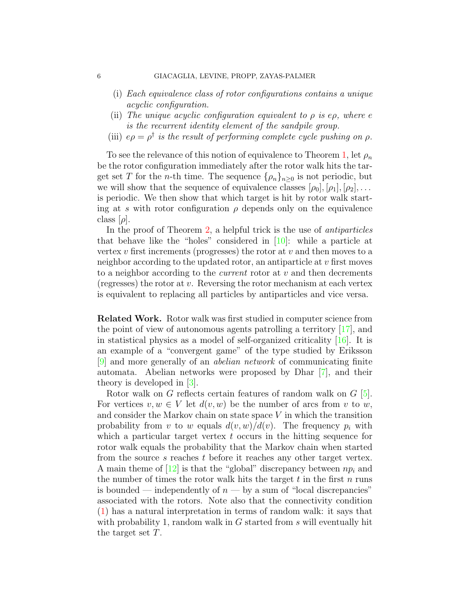- (i) Each equivalence class of rotor configurations contains a unique acyclic configuration.
- (ii) The unique acyclic configuration equivalent to  $\rho$  is e $\rho$ , where e is the recurrent identity element of the sandpile group.
- (iii)  $e\rho = \rho^{\dagger}$  is the result of performing complete cycle pushing on  $\rho$ .

To see the relevance of this notion of equivalence to Theorem [1,](#page-2-0) let  $\rho_n$ be the rotor configuration immediately after the rotor walk hits the target set T for the *n*-th time. The sequence  $\{\rho_n\}_{n>0}$  is not periodic, but we will show that the sequence of equivalence classes  $[\rho_0], [\rho_1], [\rho_2], \ldots$ is periodic. We then show that which target is hit by rotor walk starting at s with rotor configuration  $\rho$  depends only on the equivalence class  $[\rho]$ .

In the proof of Theorem [2,](#page-3-1) a helpful trick is the use of antiparticles that behave like the "holes" considered in [\[10\]](#page-24-2): while a particle at vertex  $v$  first increments (progresses) the rotor at  $v$  and then moves to a neighbor according to the updated rotor, an antiparticle at v first moves to a neighbor according to the *current* rotor at  $v$  and then decrements (regresses) the rotor at  $v$ . Reversing the rotor mechanism at each vertex is equivalent to replacing all particles by antiparticles and vice versa.

Related Work. Rotor walk was first studied in computer science from the point of view of autonomous agents patrolling a territory [\[17\]](#page-24-3), and in statistical physics as a model of self-organized criticality [\[16\]](#page-24-4). It is an example of a "convergent game" of the type studied by Eriksson [\[9\]](#page-24-5) and more generally of an abelian network of communicating finite automata. Abelian networks were proposed by Dhar [\[7\]](#page-23-0), and their theory is developed in [\[3\]](#page-23-1).

Rotor walk on G reflects certain features of random walk on G [\[5\]](#page-23-2). For vertices  $v, w \in V$  let  $d(v, w)$  be the number of arcs from v to w, and consider the Markov chain on state space  $V$  in which the transition probability from v to w equals  $d(v, w)/d(v)$ . The frequency  $p_i$  with which a particular target vertex  $t$  occurs in the hitting sequence for rotor walk equals the probability that the Markov chain when started from the source s reaches t before it reaches any other target vertex. A main theme of  $[12]$  is that the "global" discrepancy between  $np_i$  and the number of times the rotor walk hits the target  $t$  in the first  $n$  runs is bounded — independently of  $n -$  by a sum of "local discrepancies" associated with the rotors. Note also that the connectivity condition [\(1\)](#page-2-1) has a natural interpretation in terms of random walk: it says that with probability 1, random walk in  $G$  started from  $s$  will eventually hit the target set T.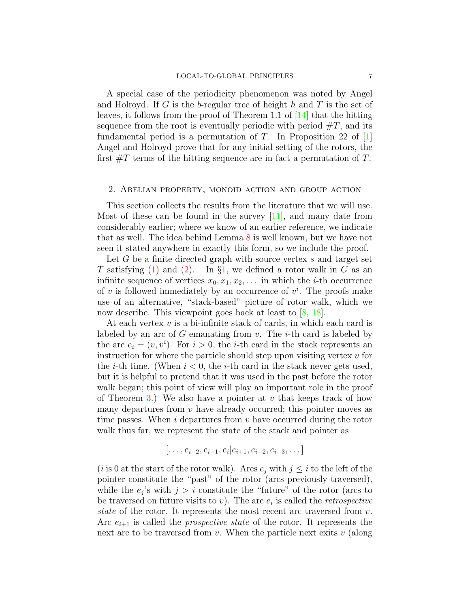A special case of the periodicity phenomenon was noted by Angel and Holroyd. If G is the b-regular tree of height h and T is the set of leaves, it follows from the proof of Theorem 1.1 of  $|14|$  that the hitting sequence from the root is eventually periodic with period  $\#T$ , and its fundamental period is a permutation of  $T$ . In Proposition 22 of  $[1]$ Angel and Holroyd prove that for any initial setting of the rotors, the first  $\#T$  terms of the hitting sequence are in fact a permutation of T.

### <span id="page-6-0"></span>2. Abelian property, monoid action and group action

This section collects the results from the literature that we will use. Most of these can be found in the survey  $[11]$ , and many date from considerably earlier; where we know of an earlier reference, we indicate that as well. The idea behind Lemma [8](#page-10-0) is well known, but we have not seen it stated anywhere in exactly this form, so we include the proof.

Let G be a finite directed graph with source vertex s and target set T satisfying [\(1\)](#page-2-1) and [\(2\)](#page-2-2). In  $\S1$ , we defined a rotor walk in G as an infinite sequence of vertices  $x_0, x_1, x_2, \ldots$  in which the *i*-th occurrence of v is followed immediately by an occurrence of  $v^i$ . The proofs make use of an alternative, "stack-based" picture of rotor walk, which we now describe. This viewpoint goes back at least to [\[8,](#page-23-4) [18\]](#page-24-7).

At each vertex  $v$  is a bi-infinite stack of cards, in which each card is labeled by an arc of  $G$  emanating from  $v$ . The *i*-th card is labeled by the arc  $e_i = (v, v^i)$ . For  $i > 0$ , the *i*-th card in the stack represents an instruction for where the particle should step upon visiting vertex  $v$  for the *i*-th time. (When  $i < 0$ , the *i*-th card in the stack never gets used, but it is helpful to pretend that it was used in the past before the rotor walk began; this point of view will play an important role in the proof of Theorem [3.](#page-3-0)) We also have a pointer at v that keeps track of how many departures from  $v$  have already occurred; this pointer moves as time passes. When  $i$  departures from  $v$  have occurred during the rotor walk thus far, we represent the state of the stack and pointer as

$$
[\ldots, e_{i-2}, e_{i-1}, e_i | e_{i+1}, e_{i+2}, e_{i+3}, \ldots]
$$

(i is 0 at the start of the rotor walk). Arcs  $e_i$  with  $j \leq i$  to the left of the pointer constitute the "past" of the rotor (arcs previously traversed), while the  $e_j$ 's with  $j > i$  constitute the "future" of the rotor (arcs to be traversed on future visits to  $v$ ). The arc  $e_i$  is called the *retrospective* state of the rotor. It represents the most recent arc traversed from  $v$ . Arc  $e_{i+1}$  is called the *prospective state* of the rotor. It represents the next arc to be traversed from  $v$ . When the particle next exits  $v$  (along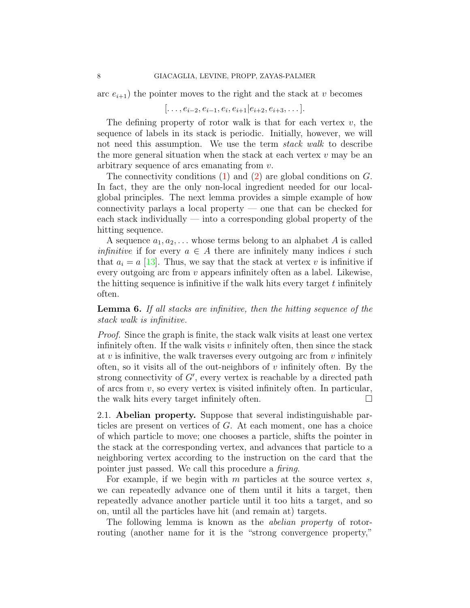arc  $e_{i+1}$ ) the pointer moves to the right and the stack at v becomes

$$
[\ldots, e_{i-2}, e_{i-1}, e_i, e_{i+1}|e_{i+2}, e_{i+3}, \ldots].
$$

The defining property of rotor walk is that for each vertex  $v$ , the sequence of labels in its stack is periodic. Initially, however, we will not need this assumption. We use the term stack walk to describe the more general situation when the stack at each vertex  $v$  may be an arbitrary sequence of arcs emanating from v.

The connectivity conditions  $(1)$  and  $(2)$  are global conditions on  $G$ . In fact, they are the only non-local ingredient needed for our localglobal principles. The next lemma provides a simple example of how connectivity parlays a local property — one that can be checked for each stack individually  $-$  into a corresponding global property of the hitting sequence.

A sequence  $a_1, a_2, \ldots$  whose terms belong to an alphabet A is called *infinitive* if for every  $a \in A$  there are infinitely many indices i such that  $a_i = a$  [\[13\]](#page-24-8). Thus, we say that the stack at vertex v is infinitive if every outgoing arc from  $v$  appears infinitely often as a label. Likewise, the hitting sequence is infinitive if the walk hits every target  $t$  infinitely often.

<span id="page-7-0"></span>Lemma 6. If all stacks are infinitive, then the hitting sequence of the stack walk is infinitive.

Proof. Since the graph is finite, the stack walk visits at least one vertex infinitely often. If the walk visits  $v$  infinitely often, then since the stack at  $v$  is infinitive, the walk traverses every outgoing arc from  $v$  infinitely often, so it visits all of the out-neighbors of  $v$  infinitely often. By the strong connectivity of  $G'$ , every vertex is reachable by a directed path of arcs from  $v$ , so every vertex is visited infinitely often. In particular, the walk hits every target infinitely often.

2.1. Abelian property. Suppose that several indistinguishable particles are present on vertices of G. At each moment, one has a choice of which particle to move; one chooses a particle, shifts the pointer in the stack at the corresponding vertex, and advances that particle to a neighboring vertex according to the instruction on the card that the pointer just passed. We call this procedure a firing.

For example, if we begin with  $m$  particles at the source vertex  $s$ , we can repeatedly advance one of them until it hits a target, then repeatedly advance another particle until it too hits a target, and so on, until all the particles have hit (and remain at) targets.

The following lemma is known as the *abelian property* of rotorrouting (another name for it is the "strong convergence property,"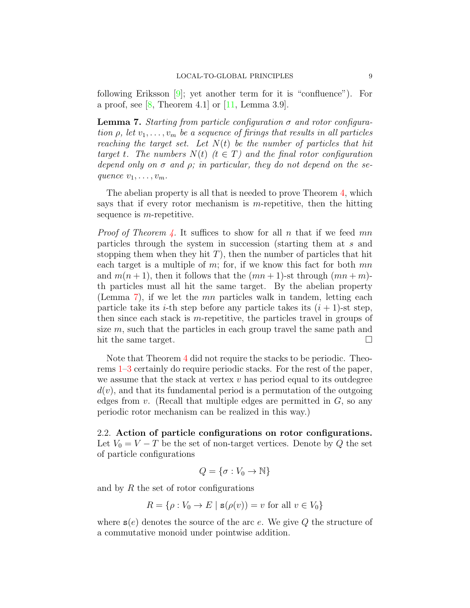following Eriksson [\[9\]](#page-24-5); yet another term for it is "confluence"). For a proof, see  $[8,$  Theorem 4.1 or  $[11,$  Lemma 3.9.

<span id="page-8-0"></span>**Lemma 7.** Starting from particle configuration  $\sigma$  and rotor configuration  $\rho$ , let  $v_1, \ldots, v_m$  be a sequence of firings that results in all particles reaching the target set. Let  $N(t)$  be the number of particles that hit target t. The numbers  $N(t)$   $(t \in T)$  and the final rotor configuration depend only on  $\sigma$  and  $\rho$ ; in particular, they do not depend on the sequence  $v_1, \ldots, v_m$ .

The abelian property is all that is needed to prove Theorem [4,](#page-4-0) which says that if every rotor mechanism is m-repetitive, then the hitting sequence is *m*-repetitive.

*Proof of Theorem [4.](#page-4-0)* It suffices to show for all n that if we feed mn particles through the system in succession (starting them at s and stopping them when they hit  $T$ ), then the number of particles that hit each target is a multiple of  $m$ ; for, if we know this fact for both  $mn$ and  $m(n+1)$ , then it follows that the  $(mn+1)$ -st through  $(mn+m)$ th particles must all hit the same target. By the abelian property (Lemma [7\)](#page-8-0), if we let the mn particles walk in tandem, letting each particle take its *i*-th step before any particle takes its  $(i + 1)$ -st step, then since each stack is m-repetitive, the particles travel in groups of size  $m$ , such that the particles in each group travel the same path and hit the same target.

Note that Theorem [4](#page-4-0) did not require the stacks to be periodic. Theorems [1–](#page-2-0)[3](#page-3-0) certainly do require periodic stacks. For the rest of the paper, we assume that the stack at vertex  $v$  has period equal to its outdegree  $d(v)$ , and that its fundamental period is a permutation of the outgoing edges from  $v$ . (Recall that multiple edges are permitted in  $G$ , so any periodic rotor mechanism can be realized in this way.)

2.2. Action of particle configurations on rotor configurations. Let  $V_0 = V - T$  be the set of non-target vertices. Denote by Q the set of particle configurations

$$
Q = \{ \sigma : V_0 \to \mathbb{N} \}
$$

and by  $R$  the set of rotor configurations

$$
R = \{ \rho : V_0 \to E \mid \mathbf{s}(\rho(v)) = v \text{ for all } v \in V_0 \}
$$

where  $s(e)$  denotes the source of the arc e. We give Q the structure of a commutative monoid under pointwise addition.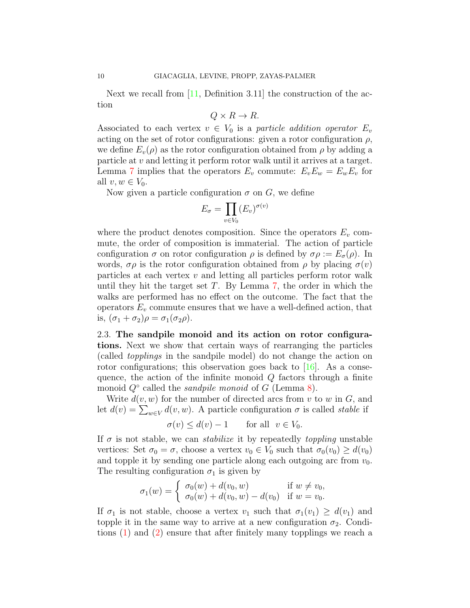Next we recall from  $[11,$  Definition 3.11 the construction of the action

$$
Q \times R \to R.
$$

Associated to each vertex  $v \in V_0$  is a particle addition operator  $E_v$ acting on the set of rotor configurations: given a rotor configuration  $\rho$ , we define  $E_v(\rho)$  as the rotor configuration obtained from  $\rho$  by adding a particle at v and letting it perform rotor walk until it arrives at a target. Lemma [7](#page-8-0) implies that the operators  $E_v$  commute:  $E_v E_w = E_w E_v$  for all  $v, w \in V_0$ .

Now given a particle configuration  $\sigma$  on  $G$ , we define

$$
E_{\sigma} = \prod_{v \in V_0} (E_v)^{\sigma(v)}
$$

where the product denotes composition. Since the operators  $E_v$  commute, the order of composition is immaterial. The action of particle configuration  $\sigma$  on rotor configuration  $\rho$  is defined by  $\sigma \rho := E_{\sigma}(\rho)$ . In words,  $\sigma \rho$  is the rotor configuration obtained from  $\rho$  by placing  $\sigma(v)$ particles at each vertex  $v$  and letting all particles perform rotor walk until they hit the target set  $T$ . By Lemma  $7$ , the order in which the walks are performed has no effect on the outcome. The fact that the operators  $E_v$  commute ensures that we have a well-defined action, that is,  $(\sigma_1 + \sigma_2)\rho = \sigma_1(\sigma_2\rho)$ .

2.3. The sandpile monoid and its action on rotor configurations. Next we show that certain ways of rearranging the particles (called topplings in the sandpile model) do not change the action on rotor configurations; this observation goes back to  $[16]$ . As a consequence, the action of the infinite monoid  $Q$  factors through a finite monoid  $Q^{\circ}$  called the *sandpile monoid* of G (Lemma [8\)](#page-10-0).

Write  $d(v, w)$  for the number of directed arcs from v to w in  $G$ , and let  $d(v) = \sum_{w \in V} d(v, w)$ . A particle configuration  $\sigma$  is called *stable* if

$$
\sigma(v) \le d(v) - 1 \quad \text{for all } v \in V_0.
$$

If  $\sigma$  is not stable, we can *stabilize* it by repeatedly *toppling* unstable vertices: Set  $\sigma_0 = \sigma$ , choose a vertex  $v_0 \in V_0$  such that  $\sigma_0(v_0) \geq d(v_0)$ and topple it by sending one particle along each outgoing arc from  $v_0$ . The resulting configuration  $\sigma_1$  is given by

$$
\sigma_1(w) = \begin{cases} \sigma_0(w) + d(v_0, w) & \text{if } w \neq v_0, \\ \sigma_0(w) + d(v_0, w) - d(v_0) & \text{if } w = v_0. \end{cases}
$$

If  $\sigma_1$  is not stable, choose a vertex  $v_1$  such that  $\sigma_1(v_1) \geq d(v_1)$  and topple it in the same way to arrive at a new configuration  $\sigma_2$ . Conditions [\(1\)](#page-2-1) and [\(2\)](#page-2-2) ensure that after finitely many topplings we reach a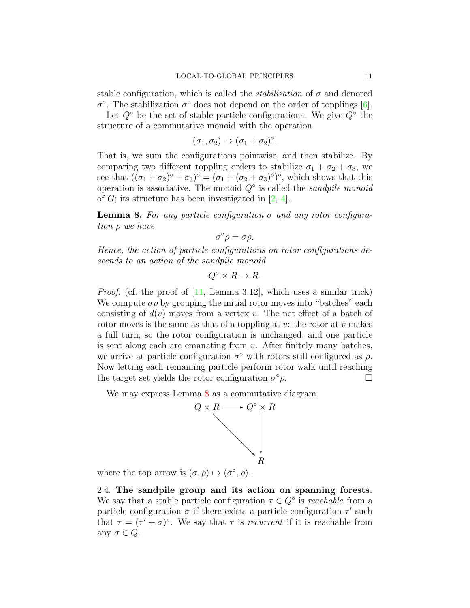stable configuration, which is called the *stabilization* of  $\sigma$  and denoted σ<sup>o</sup>. The stabilization σ<sup>o</sup> does not depend on the order of topplings [\[6\]](#page-23-5).

Let  $Q^{\circ}$  be the set of stable particle configurations. We give  $Q^{\circ}$  the structure of a commutative monoid with the operation

$$
(\sigma_1, \sigma_2) \mapsto (\sigma_1 + \sigma_2)^{\circ}.
$$

That is, we sum the configurations pointwise, and then stabilize. By comparing two different toppling orders to stabilize  $\sigma_1 + \sigma_2 + \sigma_3$ , we see that  $((\sigma_1 + \sigma_2)^{\circ} + \sigma_3)^{\circ} = (\sigma_1 + (\sigma_2 + \sigma_3)^{\circ})^{\circ}$ , which shows that this operation is associative. The monoid  $Q^{\circ}$  is called the *sandpile monoid* of G; its structure has been investigated in  $[2, 4]$  $[2, 4]$ .

<span id="page-10-0"></span>**Lemma 8.** For any particle configuration  $\sigma$  and any rotor configuration ρ we have

$$
\sigma^{\circ}\rho=\sigma\rho.
$$

Hence, the action of particle configurations on rotor configurations descends to an action of the sandpile monoid

$$
Q^{\circ} \times R \to R.
$$

Proof. (cf. the proof of [\[11,](#page-24-1) Lemma 3.12], which uses a similar trick) We compute  $\sigma \rho$  by grouping the initial rotor moves into "batches" each consisting of  $d(v)$  moves from a vertex v. The net effect of a batch of rotor moves is the same as that of a toppling at  $v$ : the rotor at  $v$  makes a full turn, so the rotor configuration is unchanged, and one particle is sent along each arc emanating from  $v$ . After finitely many batches, we arrive at particle configuration  $\sigma^{\circ}$  with rotors still configured as  $\rho$ . Now letting each remaining particle perform rotor walk until reaching the target set yields the rotor configuration  $\sigma^{\circ}\rho$ .  $\circ \rho$ .

We may express Lemma [8](#page-10-0) as a commutative diagram



where the top arrow is  $(\sigma, \rho) \mapsto (\sigma^{\circ}, \rho)$ .

2.4. The sandpile group and its action on spanning forests. We say that a stable particle configuration  $\tau \in Q^{\circ}$  is *reachable* from a particle configuration  $\sigma$  if there exists a particle configuration  $\tau'$  such that  $\tau = (\tau' + \sigma)^\circ$ . We say that  $\tau$  is *recurrent* if it is reachable from any  $\sigma \in Q$ .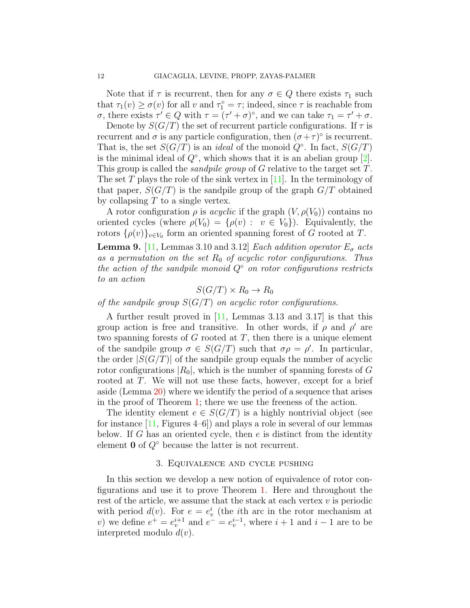Note that if  $\tau$  is recurrent, then for any  $\sigma \in Q$  there exists  $\tau_1$  such that  $\tau_1(v) \ge \sigma(v)$  for all v and  $\tau_1^{\circ} = \tau$ ; indeed, since  $\tau$  is reachable from  $\sigma$ , there exists  $\tau' \in Q$  with  $\tau = (\tau' + \sigma)^\circ$ , and we can take  $\tau_1 = \tau' + \sigma$ .

Denote by  $S(G/T)$  the set of recurrent particle configurations. If  $\tau$  is recurrent and  $\sigma$  is any particle configuration, then  $(\sigma + \tau)$ <sup>o</sup> is recurrent. That is, the set  $S(G/T)$  is an *ideal* of the monoid  $Q^{\circ}$ . In fact,  $S(G/T)$ is the minimal ideal of  $Q^{\circ}$ , which shows that it is an abelian group [\[2\]](#page-23-6). This group is called the *sandpile group* of G relative to the target set T. The set T plays the role of the sink vertex in  $[11]$ . In the terminology of that paper,  $S(G/T)$  is the sandpile group of the graph  $G/T$  obtained by collapsing  $T$  to a single vertex.

A rotor configuration  $\rho$  is *acyclic* if the graph  $(V, \rho(V_0))$  contains no oriented cycles (where  $\rho(V_0) = {\rho(v) : v \in V_0}$ ). Equivalently, the rotors  $\{\rho(v)\}_{v\in V_0}$  form an oriented spanning forest of G rooted at T.

<span id="page-11-0"></span>**Lemma 9.** [\[11,](#page-24-1) Lemmas 3.10 and 3.12] *Each addition operator*  $E_{\sigma}$  *acts* as a permutation on the set  $R_0$  of acyclic rotor configurations. Thus the action of the sandpile monoid  $Q<sup>°</sup>$  on rotor configurations restricts to an action

$$
S(G/T) \times R_0 \to R_0
$$

of the sandpile group  $S(G/T)$  on acyclic rotor configurations.

A further result proved in [\[11,](#page-24-1) Lemmas 3.13 and 3.17] is that this group action is free and transitive. In other words, if  $\rho$  and  $\rho'$  are two spanning forests of  $G$  rooted at  $T$ , then there is a unique element of the sandpile group  $\sigma \in S(G/T)$  such that  $\sigma \rho = \rho'$ . In particular, the order  $|S(G/T)|$  of the sandpile group equals the number of acyclic rotor configurations  $|R_0|$ , which is the number of spanning forests of G rooted at T. We will not use these facts, however, except for a brief aside (Lemma [20\)](#page-17-0) where we identify the period of a sequence that arises in the proof of Theorem [1;](#page-2-0) there we use the freeness of the action.

The identity element  $e \in S(G/T)$  is a highly nontrivial object (see for instance  $[11,$  Figures 4–6.) and plays a role in several of our lemmas below. If G has an oriented cycle, then  $e$  is distinct from the identity element  $\mathbf{0}$  of  $Q^{\circ}$  because the latter is not recurrent.

### 3. Equivalence and cycle pushing

In this section we develop a new notion of equivalence of rotor configurations and use it to prove Theorem [1.](#page-2-0) Here and throughout the rest of the article, we assume that the stack at each vertex  $v$  is periodic with period  $d(v)$ . For  $e = e_v^i$  (the *i*th arc in the rotor mechanism at v) we define  $e^+ = e^{i+1}_v$  and  $e^- = e^{i-1}_v$ , where  $i+1$  and  $i-1$  are to be interpreted modulo  $d(v)$ .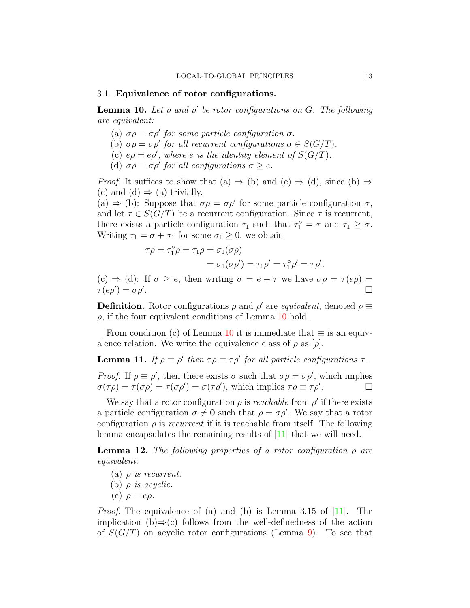#### <span id="page-12-0"></span>3.1. Equivalence of rotor configurations.

<span id="page-12-1"></span>**Lemma 10.** Let  $\rho$  and  $\rho'$  be rotor configurations on G. The following are equivalent:

- (a)  $\sigma \rho = \sigma \rho'$  for some particle configuration  $\sigma$ .
- (b)  $\sigma \rho = \sigma \rho'$  for all recurrent configurations  $\sigma \in S(G/T)$ .
- (c)  $e\rho = e\rho'$ , where e is the identity element of  $S(G/T)$ .
- (d)  $\sigma \rho = \sigma \rho'$  for all configurations  $\sigma \geq e$ .

*Proof.* It suffices to show that (a)  $\Rightarrow$  (b) and (c)  $\Rightarrow$  (d), since (b)  $\Rightarrow$ (c) and (d)  $\Rightarrow$  (a) trivially.

(a)  $\Rightarrow$  (b): Suppose that  $\sigma \rho = \sigma \rho'$  for some particle configuration  $\sigma$ , and let  $\tau \in S(G/T)$  be a recurrent configuration. Since  $\tau$  is recurrent, there exists a particle configuration  $\tau_1$  such that  $\tau_1^{\circ} = \tau$  and  $\tau_1 \geq \sigma$ . Writing  $\tau_1 = \sigma + \sigma_1$  for some  $\sigma_1 \geq 0$ , we obtain

$$
\tau \rho = \tau_1^{\circ} \rho = \tau_1 \rho = \sigma_1(\sigma \rho)
$$
  
= 
$$
\sigma_1(\sigma \rho') = \tau_1 \rho' = \tau_1^{\circ} \rho' = \tau \rho'.
$$

(c)  $\Rightarrow$  (d): If  $\sigma \geq e$ , then writing  $\sigma = e + \tau$  we have  $\sigma \rho = \tau (e \rho)$  $\tau(e\rho')=\sigma\rho'$ .

**Definition.** Rotor configurations  $\rho$  and  $\rho'$  are *equivalent*, denoted  $\rho \equiv$  $\rho$ , if the four equivalent conditions of Lemma [10](#page-12-1) hold.

From condition (c) of Lemma [10](#page-12-1) it is immediate that  $\equiv$  is an equivalence relation. We write the equivalence class of  $\rho$  as  $[\rho]$ .

# <span id="page-12-3"></span>**Lemma 11.** If  $\rho \equiv \rho'$  then  $\tau \rho \equiv \tau \rho'$  for all particle configurations  $\tau$ .

Proof. If  $\rho \equiv \rho'$ , then there exists  $\sigma$  such that  $\sigma \rho = \sigma \rho'$ , which implies  $\sigma(\tau \rho) = \tau(\sigma \rho) = \tau(\sigma \rho') = \sigma(\tau \rho')$ , which implies  $\tau \rho \equiv \tau \rho'$ .

We say that a rotor configuration  $\rho$  is *reachable* from  $\rho'$  if there exists a particle configuration  $\sigma \neq 0$  such that  $\rho = \sigma \rho'$ . We say that a rotor configuration  $\rho$  is *recurrent* if it is reachable from itself. The following lemma encapsulates the remaining results of [\[11\]](#page-24-1) that we will need.

<span id="page-12-2"></span>**Lemma 12.** The following properties of a rotor configuration  $\rho$  are equivalent:

- (a)  $\rho$  is recurrent.
- (b)  $\rho$  is acyclic.
- (c)  $\rho = e\rho$ .

*Proof.* The equivalence of (a) and (b) is Lemma 3.15 of  $[11]$ . The implication (b)⇒(c) follows from the well-definedness of the action of  $S(G/T)$  on acyclic rotor configurations (Lemma [9\)](#page-11-0). To see that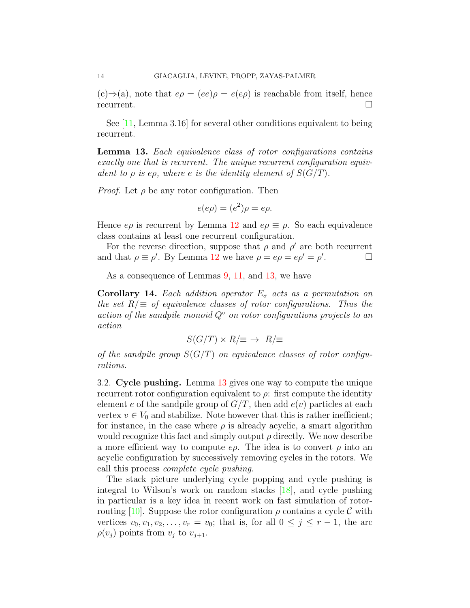$(c) \Rightarrow (a)$ , note that  $e\rho = (ee)\rho = e(e\rho)$  is reachable from itself, hence recurrent.

See [\[11,](#page-24-1) Lemma 3.16] for several other conditions equivalent to being recurrent.

<span id="page-13-0"></span>Lemma 13. Each equivalence class of rotor configurations contains exactly one that is recurrent. The unique recurrent configuration equivalent to  $\rho$  is e $\rho$ , where e is the identity element of  $S(G/T)$ .

*Proof.* Let  $\rho$  be any rotor configuration. Then

$$
e(e\rho) = (e^2)\rho = e\rho.
$$

Hence  $e\rho$  is recurrent by Lemma [12](#page-12-2) and  $e\rho \equiv \rho$ . So each equivalence class contains at least one recurrent configuration.

For the reverse direction, suppose that  $\rho$  and  $\rho'$  are both recurrent and that  $\rho \equiv \rho'$ . By Lemma [12](#page-12-2) we have  $\rho = e\rho = e\rho' = \rho'$ . — П

As a consequence of Lemmas [9,](#page-11-0) [11,](#page-12-3) and [13,](#page-13-0) we have

<span id="page-13-1"></span>**Corollary 14.** Each addition operator  $E_{\sigma}$  acts as a permutation on the set  $R/\equiv$  of equivalence classes of rotor configurations. Thus the action of the sandpile monoid  $Q<sup>°</sup>$  on rotor configurations projects to an action

$$
S(G/T) \times R/\equiv \rightarrow R/\equiv
$$

of the sandpile group  $S(G/T)$  on equivalence classes of rotor configurations.

<span id="page-13-2"></span>3.2. Cycle pushing. Lemma [13](#page-13-0) gives one way to compute the unique recurrent rotor configuration equivalent to  $\rho$ : first compute the identity element e of the sandpile group of  $G/T$ , then add  $e(v)$  particles at each vertex  $v \in V_0$  and stabilize. Note however that this is rather inefficient; for instance, in the case where  $\rho$  is already acyclic, a smart algorithm would recognize this fact and simply output  $\rho$  directly. We now describe a more efficient way to compute  $e\rho$ . The idea is to convert  $\rho$  into an acyclic configuration by successively removing cycles in the rotors. We call this process complete cycle pushing.

The stack picture underlying cycle popping and cycle pushing is integral to Wilson's work on random stacks [\[18\]](#page-24-7), and cycle pushing in particular is a key idea in recent work on fast simulation of rotor-routing [\[10\]](#page-24-2). Suppose the rotor configuration  $\rho$  contains a cycle  $\mathcal C$  with vertices  $v_0, v_1, v_2, \ldots, v_r = v_0$ ; that is, for all  $0 \leq j \leq r-1$ , the arc  $\rho(v_i)$  points from  $v_i$  to  $v_{i+1}$ .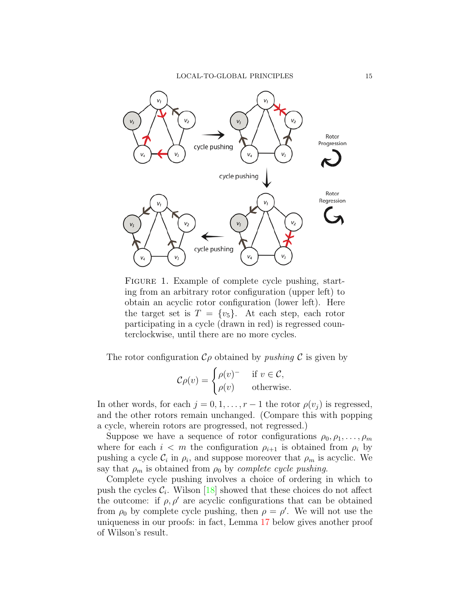LOCAL-TO-GLOBAL PRINCIPLES 15



<span id="page-14-0"></span>FIGURE 1. Example of complete cycle pushing, starting from an arbitrary rotor configuration (upper left) to obtain an acyclic rotor configuration (lower left). Here the target set is  $T = \{v_5\}$ . At each step, each rotor participating in a cycle (drawn in red) is regressed counterclockwise, until there are no more cycles.

The rotor configuration  $\mathcal{C}_{\rho}$  obtained by *pushing*  $\mathcal{C}$  is given by

$$
\mathcal{C}\rho(v) = \begin{cases} \rho(v)^{-} & \text{if } v \in \mathcal{C}, \\ \rho(v) & \text{otherwise.} \end{cases}
$$

In other words, for each  $j = 0, 1, \ldots, r - 1$  the rotor  $\rho(v_j)$  is regressed, and the other rotors remain unchanged. (Compare this with popping a cycle, wherein rotors are progressed, not regressed.)

Suppose we have a sequence of rotor configurations  $\rho_0, \rho_1, \ldots, \rho_m$ where for each  $i < m$  the configuration  $\rho_{i+1}$  is obtained from  $\rho_i$  by pushing a cycle  $\mathcal{C}_i$  in  $\rho_i$ , and suppose moreover that  $\rho_m$  is acyclic. We say that  $\rho_m$  is obtained from  $\rho_0$  by *complete cycle pushing*.

Complete cycle pushing involves a choice of ordering in which to push the cycles  $\mathcal{C}_i$ . Wilson [\[18\]](#page-24-7) showed that these choices do not affect the outcome: if  $\rho$ ,  $\rho'$  are acyclic configurations that can be obtained from  $\rho_0$  by complete cycle pushing, then  $\rho = \rho'$ . We will not use the uniqueness in our proofs: in fact, Lemma [17](#page-15-0) below gives another proof of Wilson's result.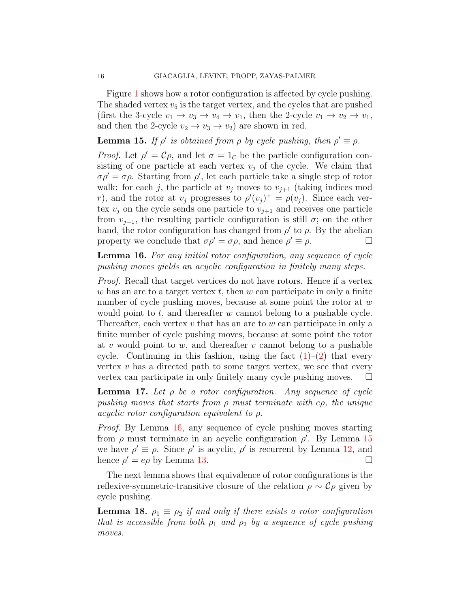Figure [1](#page-14-0) shows how a rotor configuration is affected by cycle pushing. The shaded vertex  $v_5$  is the target vertex, and the cycles that are pushed (first the 3-cycle  $v_1 \rightarrow v_3 \rightarrow v_4 \rightarrow v_1$ , then the 2-cycle  $v_1 \rightarrow v_2 \rightarrow v_1$ , and then the 2-cycle  $v_2 \rightarrow v_3 \rightarrow v_2$  are shown in red.

<span id="page-15-2"></span>**Lemma 15.** If  $\rho'$  is obtained from  $\rho$  by cycle pushing, then  $\rho' \equiv \rho$ .

*Proof.* Let  $\rho' = C\rho$ , and let  $\sigma = 1_c$  be the particle configuration consisting of one particle at each vertex  $v_j$  of the cycle. We claim that  $\sigma \rho' = \sigma \rho$ . Starting from  $\rho'$ , let each particle take a single step of rotor walk: for each j, the particle at  $v_j$  moves to  $v_{j+1}$  (taking indices mod r), and the rotor at  $v_j$  progresses to  $\rho'(v_j)^+ = \rho(v_j)$ . Since each vertex  $v_j$  on the cycle sends one particle to  $v_{j+1}$  and receives one particle from  $v_{j-1}$ , the resulting particle configuration is still  $\sigma$ ; on the other hand, the rotor configuration has changed from  $\rho'$  to  $\rho$ . By the abelian property we conclude that  $\sigma \rho' = \sigma \rho$ , and hence  $\rho' \equiv \rho$ .

<span id="page-15-1"></span>Lemma 16. For any initial rotor configuration, any sequence of cycle pushing moves yields an acyclic configuration in finitely many steps.

Proof. Recall that target vertices do not have rotors. Hence if a vertex  $w$  has an arc to a target vertex  $t$ , then  $w$  can participate in only a finite number of cycle pushing moves, because at some point the rotor at w would point to  $t$ , and thereafter  $w$  cannot belong to a pushable cycle. Thereafter, each vertex  $v$  that has an arc to  $w$  can participate in only a finite number of cycle pushing moves, because at some point the rotor at v would point to  $w$ , and thereafter v cannot belong to a pushable cycle. Continuing in this fashion, using the fact  $(1)-(2)$  $(1)-(2)$  that every vertex  $v$  has a directed path to some target vertex, we see that every vertex can participate in only finitely many cycle pushing moves.  $\Box$ 

<span id="page-15-0"></span>**Lemma 17.** Let  $\rho$  be a rotor configuration. Any sequence of cycle pushing moves that starts from  $\rho$  must terminate with e $\rho$ , the unique acyclic rotor configuration equivalent to ρ.

Proof. By Lemma [16,](#page-15-1) any sequence of cycle pushing moves starting from  $\rho$  must terminate in an acyclic configuration  $\rho'$ . By Lemma [15](#page-15-2) we have  $\rho' \equiv \rho$ . Since  $\rho'$  is acyclic,  $\rho'$  is recurrent by Lemma [12,](#page-12-2) and hence  $\rho' = e\rho$  by Lemma [13.](#page-13-0)

The next lemma shows that equivalence of rotor configurations is the reflexive-symmetric-transitive closure of the relation  $\rho \sim C \rho$  given by cycle pushing.

<span id="page-15-3"></span>**Lemma 18.**  $\rho_1 \equiv \rho_2$  if and only if there exists a rotor configuration that is accessible from both  $\rho_1$  and  $\rho_2$  by a sequence of cycle pushing moves.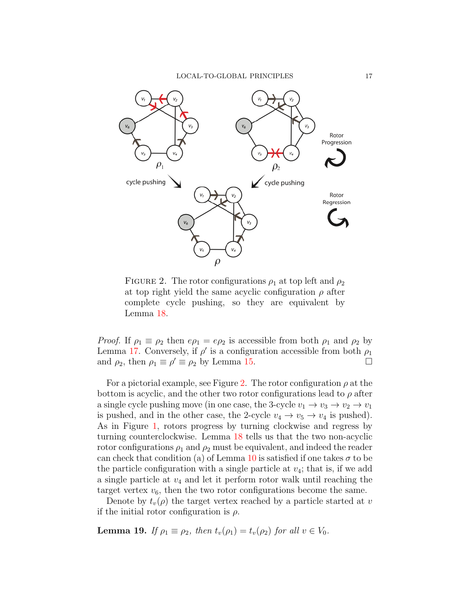

<span id="page-16-0"></span>FIGURE 2. The rotor configurations  $\rho_1$  at top left and  $\rho_2$ at top right yield the same acyclic configuration  $\rho$  after complete cycle pushing, so they are equivalent by Lemma [18.](#page-15-3)

*Proof.* If  $\rho_1 \equiv \rho_2$  then  $e\rho_1 = e\rho_2$  is accessible from both  $\rho_1$  and  $\rho_2$  by Lemma [17.](#page-15-0) Conversely, if  $\rho'$  is a configuration accessible from both  $\rho_1$ and  $\rho_2$ , then  $\rho_1 \equiv \rho' \equiv \rho_2$  by Lemma [15.](#page-15-2)

For a pictorial example, see Figure [2.](#page-16-0) The rotor configuration  $\rho$  at the bottom is acyclic, and the other two rotor configurations lead to  $\rho$  after a single cycle pushing move (in one case, the 3-cycle  $v_1 \rightarrow v_3 \rightarrow v_2 \rightarrow v_1$ is pushed, and in the other case, the 2-cycle  $v_4 \rightarrow v_5 \rightarrow v_4$  is pushed). As in Figure [1,](#page-14-0) rotors progress by turning clockwise and regress by turning counterclockwise. Lemma [18](#page-15-3) tells us that the two non-acyclic rotor configurations  $\rho_1$  and  $\rho_2$  must be equivalent, and indeed the reader can check that condition (a) of Lemma [10](#page-12-1) is satisfied if one takes  $\sigma$  to be the particle configuration with a single particle at  $v_4$ ; that is, if we add a single particle at  $v_4$  and let it perform rotor walk until reaching the target vertex  $v_6$ , then the two rotor configurations become the same.

Denote by  $t_v(\rho)$  the target vertex reached by a particle started at v if the initial rotor configuration is  $\rho$ .

<span id="page-16-1"></span>**Lemma 19.** If  $\rho_1 \equiv \rho_2$ , then  $t_v(\rho_1) = t_v(\rho_2)$  for all  $v \in V_0$ .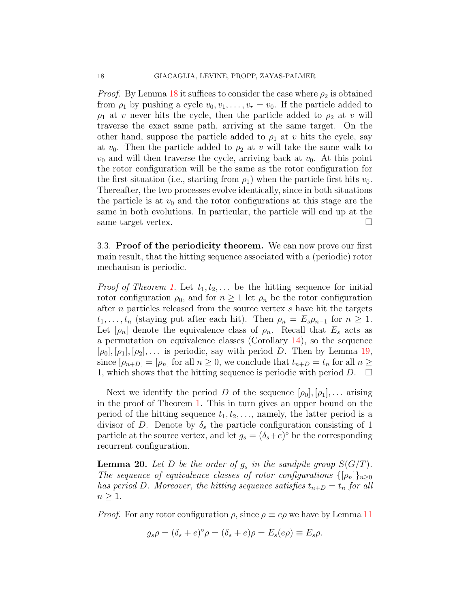*Proof.* By Lemma [18](#page-15-3) it suffices to consider the case where  $\rho_2$  is obtained from  $\rho_1$  by pushing a cycle  $v_0, v_1, \ldots, v_r = v_0$ . If the particle added to  $\rho_1$  at v never hits the cycle, then the particle added to  $\rho_2$  at v will traverse the exact same path, arriving at the same target. On the other hand, suppose the particle added to  $\rho_1$  at v hits the cycle, say at  $v_0$ . Then the particle added to  $\rho_2$  at v will take the same walk to  $v_0$  and will then traverse the cycle, arriving back at  $v_0$ . At this point the rotor configuration will be the same as the rotor configuration for the first situation (i.e., starting from  $\rho_1$ ) when the particle first hits  $v_0$ . Thereafter, the two processes evolve identically, since in both situations the particle is at  $v_0$  and the rotor configurations at this stage are the same in both evolutions. In particular, the particle will end up at the same target vertex.

3.3. Proof of the periodicity theorem. We can now prove our first main result, that the hitting sequence associated with a (periodic) rotor mechanism is periodic.

*Proof of Theorem [1.](#page-2-0)* Let  $t_1, t_2, \ldots$  be the hitting sequence for initial rotor configuration  $\rho_0$ , and for  $n \geq 1$  let  $\rho_n$  be the rotor configuration after n particles released from the source vertex s have hit the targets  $t_1, \ldots, t_n$  (staying put after each hit). Then  $\rho_n = E_s \rho_{n-1}$  for  $n \geq 1$ . Let  $[\rho_n]$  denote the equivalence class of  $\rho_n$ . Recall that  $E_s$  acts as a permutation on equivalence classes (Corollary [14\)](#page-13-1), so the sequence  $[\rho_0], [\rho_1], [\rho_2], \ldots$  is periodic, say with period D. Then by Lemma [19,](#page-16-1) since  $[\rho_{n+D}] = [\rho_n]$  for all  $n \geq 0$ , we conclude that  $t_{n+D} = t_n$  for all  $n \geq 0$ 1, which shows that the hitting sequence is periodic with period  $D$ .  $\Box$ 

Next we identify the period D of the sequence  $|\rho_0|, |\rho_1|, \ldots$  arising in the proof of Theorem [1.](#page-2-0) This in turn gives an upper bound on the period of the hitting sequence  $t_1, t_2, \ldots$ , namely, the latter period is a divisor of D. Denote by  $\delta_s$  the particle configuration consisting of 1 particle at the source vertex, and let  $g_s = (\delta_s + e)^\circ$  be the corresponding recurrent configuration.

<span id="page-17-0"></span>**Lemma 20.** Let D be the order of  $g_s$  in the sandpile group  $S(G/T)$ . The sequence of equivalence classes of rotor configurations  $\{\rho_n\}_{n>0}$ has period D. Moreover, the hitting sequence satisfies  $t_{n+D} = t_n$  for all  $n \geq 1$ .

*Proof.* For any rotor configuration  $\rho$ , since  $\rho \equiv e\rho$  we have by Lemma [11](#page-12-3)

$$
g_s \rho = (\delta_s + e)^{\circ} \rho = (\delta_s + e) \rho = E_s(e\rho) \equiv E_s \rho.
$$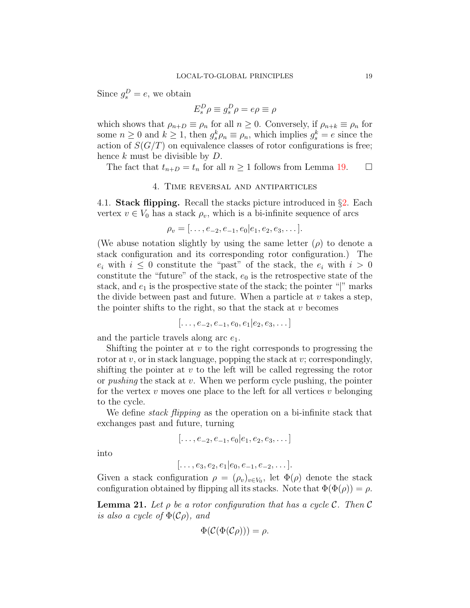Since  $g_s^D = e$ , we obtain

$$
E_s^D \rho \equiv g_s^D \rho = e\rho \equiv \rho
$$

which shows that  $\rho_{n+D} \equiv \rho_n$  for all  $n \geq 0$ . Conversely, if  $\rho_{n+k} \equiv \rho_n$  for some  $n \geq 0$  and  $k \geq 1$ , then  $g_s^k \rho_n \equiv \rho_n$ , which implies  $g_s^k = e$  since the action of  $S(G/T)$  on equivalence classes of rotor configurations is free; hence  $k$  must be divisible by  $D$ .

The fact that  $t_{n+D} = t_n$  for all  $n \ge 1$  follows from Lemma [19.](#page-16-1)  $\Box$ 

## 4. Time reversal and antiparticles

4.1. **Stack flipping.** Recall the stacks picture introduced in  $\S$ [2.](#page-6-0) Each vertex  $v \in V_0$  has a stack  $\rho_v$ , which is a bi-infinite sequence of arcs

$$
\rho_v = [\ldots, e_{-2}, e_{-1}, e_0 | e_1, e_2, e_3, \ldots].
$$

(We abuse notation slightly by using the same letter  $(\rho)$  to denote a stack configuration and its corresponding rotor configuration.) The  $e_i$  with  $i \leq 0$  constitute the "past" of the stack, the  $e_i$  with  $i > 0$ constitute the "future" of the stack,  $e_0$  is the retrospective state of the stack, and  $e_1$  is the prospective state of the stack; the pointer "|" marks the divide between past and future. When a particle at  $v$  takes a step, the pointer shifts to the right, so that the stack at  $v$  becomes

 $[\ldots, e_{-2}, e_{-1}, e_0, e_1 | e_2, e_3, \ldots]$ 

and the particle travels along arc  $e_1$ .

Shifting the pointer at  $v$  to the right corresponds to progressing the rotor at  $v$ , or in stack language, popping the stack at  $v$ ; correspondingly, shifting the pointer at  $v$  to the left will be called regressing the rotor or *pushing* the stack at v. When we perform cycle pushing, the pointer for the vertex  $v$  moves one place to the left for all vertices  $v$  belonging to the cycle.

We define *stack flipping* as the operation on a bi-infinite stack that exchanges past and future, turning

$$
[\ldots, e_{-2}, e_{-1}, e_0 | e_1, e_2, e_3, \ldots]
$$

into

$$
[\ldots, e_3, e_2, e_1 | e_0, e_{-1}, e_{-2}, \ldots].
$$

Given a stack configuration  $\rho = (\rho_v)_{v \in V_0}$ , let  $\Phi(\rho)$  denote the stack configuration obtained by flipping all its stacks. Note that  $\Phi(\Phi(\rho)) = \rho$ .

<span id="page-18-0"></span>**Lemma 21.** Let  $\rho$  be a rotor configuration that has a cycle C. Then C is also a cycle of  $\Phi(\mathcal{C}_{\rho})$ , and

$$
\Phi(\mathcal{C}(\Phi(\mathcal{C}\rho))) = \rho.
$$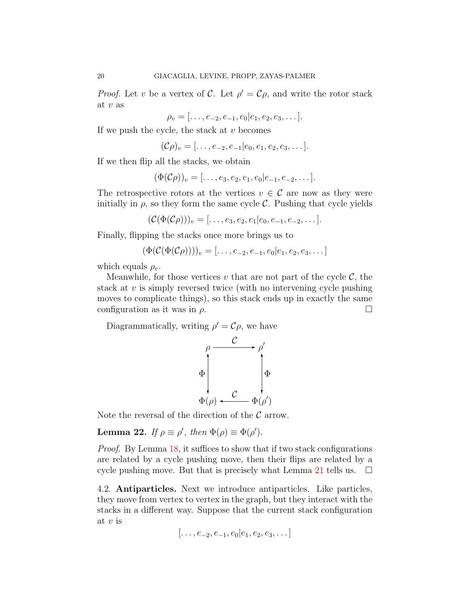*Proof.* Let v be a vertex of C. Let  $\rho' = C\rho$ , and write the rotor stack at  $v$  as

$$
\rho_v = [\ldots, e_{-2}, e_{-1}, e_0 | e_1, e_2, e_3, \ldots].
$$

If we push the cycle, the stack at  $v$  becomes

$$
(\mathcal{C}\rho)_v = [\ldots, e_{-2}, e_{-1}]e_0, e_1, e_2, e_3, \ldots].
$$

If we then flip all the stacks, we obtain

$$
(\Phi(\mathcal{C}\rho))_v = [\ldots, e_3, e_2, e_1, e_0 | e_{-1}, e_{-2}, \ldots].
$$

The retrospective rotors at the vertices  $v \in \mathcal{C}$  are now as they were initially in  $\rho$ , so they form the same cycle C. Pushing that cycle yields

$$
(\mathcal{C}(\Phi(\mathcal{C}\rho)))_v = [\ldots, e_3, e_2, e_1 | e_0, e_{-1}, e_{-2}, \ldots].
$$

Finally, flipping the stacks once more brings us to

$$
(\Phi(C(\Phi(C\rho))))_v = [\ldots, e_{-2}, e_{-1}, e_0 | e_1, e_2, e_3, \ldots]
$$

which equals  $\rho_v$ .

Meanwhile, for those vertices v that are not part of the cycle  $\mathcal{C}$ , the stack at  $v$  is simply reversed twice (with no intervening cycle pushing moves to complicate things), so this stack ends up in exactly the same configuration as it was in  $\rho$ .

Diagrammatically, writing  $\rho' = C\rho$ , we have

$$
\rho \xrightarrow{\mathcal{C}} \rho'
$$
\n
$$
\Phi \downarrow \qquad \qquad \downarrow \Phi
$$
\n
$$
\Phi(\rho) \longleftarrow \Phi(\rho')
$$

Note the reversal of the direction of the  $\mathcal C$  arrow.

<span id="page-19-0"></span>**Lemma 22.** If  $\rho \equiv \rho'$ , then  $\Phi(\rho) \equiv \Phi(\rho')$ .

Proof. By Lemma [18,](#page-15-3) it suffices to show that if two stack configurations are related by a cycle pushing move, then their flips are related by a cycle pushing move. But that is precisely what Lemma [21](#page-18-0) tells us.  $\Box$ 

4.2. Antiparticles. Next we introduce antiparticles. Like particles, they move from vertex to vertex in the graph, but they interact with the stacks in a different way. Suppose that the current stack configuration at  $v$  is

$$
[\ldots, e_{-2}, e_{-1}, e_0 | e_1, e_2, e_3, \ldots]
$$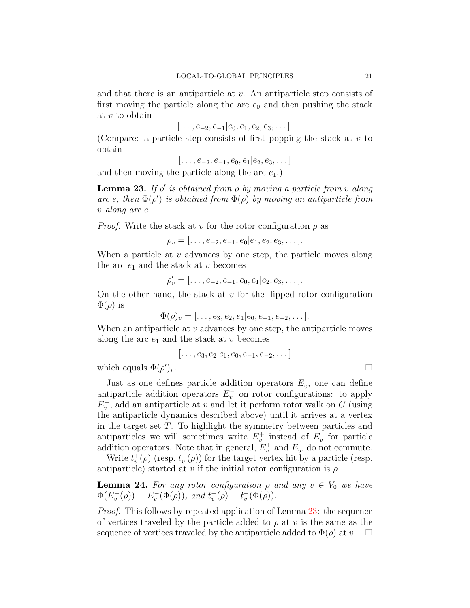and that there is an antiparticle at  $v$ . An antiparticle step consists of first moving the particle along the arc  $e_0$  and then pushing the stack at v to obtain

$$
[\ldots, e_{-2}, e_{-1} | e_0, e_1, e_2, e_3, \ldots].
$$

(Compare: a particle step consists of first popping the stack at  $v$  to obtain

 $[\ldots, e_{-2}, e_{-1}, e_0, e_1]e_2, e_3, \ldots]$ 

and then moving the particle along the arc  $e_1$ .)

<span id="page-20-0"></span>**Lemma 23.** If  $\rho'$  is obtained from  $\rho$  by moving a particle from v along arc e, then  $\Phi(\rho)$  is obtained from  $\Phi(\rho)$  by moving an antiparticle from v along arc e.

*Proof.* Write the stack at v for the rotor configuration  $\rho$  as

$$
\rho_v = [\ldots, e_{-2}, e_{-1}, e_0 | e_1, e_2, e_3, \ldots].
$$

When a particle at  $v$  advances by one step, the particle moves along the arc  $e_1$  and the stack at v becomes

$$
\rho'_v = [\ldots, e_{-2}, e_{-1}, e_0, e_1 | e_2, e_3, \ldots].
$$

On the other hand, the stack at  $v$  for the flipped rotor configuration  $\Phi(\rho)$  is

$$
\Phi(\rho)_v = [\ldots, e_3, e_2, e_1 | e_0, e_{-1}, e_{-2}, \ldots].
$$

When an antiparticle at  $v$  advances by one step, the antiparticle moves along the arc  $e_1$  and the stack at v becomes

$$
[\ldots, e_3, e_2 | e_1, e_0, e_{-1}, e_{-2}, \ldots]
$$

which equals  $\Phi(\rho)$  $)v.$ 

Just as one defines particle addition operators  $E_v$ , one can define antiparticle addition operators  $E_v^-$  on rotor configurations: to apply  $E_v^{\text{-}}$ , add an antiparticle at v and let it perform rotor walk on G (using the antiparticle dynamics described above) until it arrives at a vertex in the target set T. To highlight the symmetry between particles and antiparticles we will sometimes write  $E_v^+$  instead of  $E_v$  for particle addition operators. Note that in general,  $E_v^+$  and  $E_w^-$  do not commute.

Write  $t_v^+(\rho)$  (resp.  $t_v^-(\rho)$ ) for the target vertex hit by a particle (resp. antiparticle) started at v if the initial rotor configuration is  $\rho$ .

<span id="page-20-1"></span>**Lemma 24.** For any rotor configuration  $\rho$  and any  $v \in V_0$  we have  $\Phi(E_v^+(\rho)) = E_v^-(\Phi(\rho)), \text{ and } t_v^+(\rho) = t_v^-(\Phi(\rho)).$ 

Proof. This follows by repeated application of Lemma [23:](#page-20-0) the sequence of vertices traveled by the particle added to  $\rho$  at v is the same as the sequence of vertices traveled by the antiparticle added to  $\Phi(\rho)$  at v.  $\Box$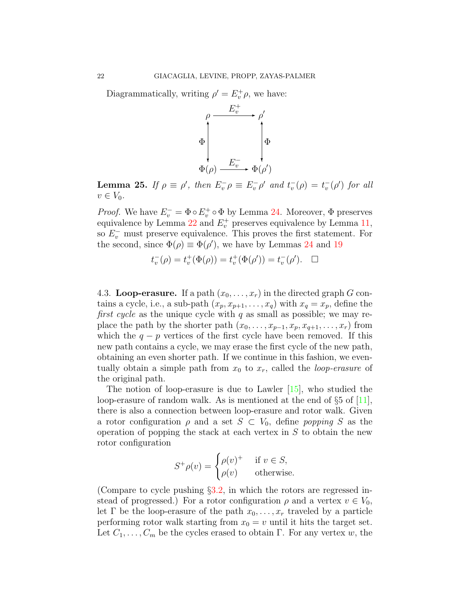Diagrammatically, writing  $\rho' = E_v^+ \rho$ , we have:



<span id="page-21-0"></span>**Lemma 25.** If  $\rho \equiv \rho'$ , then  $E_v^-\rho \equiv E_v^-\rho'$  and  $t_v^-(\rho) = t_v^-(\rho')$  for all  $v \in V_0$ .

*Proof.* We have  $E_v^- = \Phi \circ E_v^+ \circ \Phi$  by Lemma [24.](#page-20-1) Moreover,  $\Phi$  preserves equivalence by Lemma  $22$  and  $E_v^+$  preserves equivalence by Lemma [11,](#page-12-3) so  $E_v^-$  must preserve equivalence. This proves the first statement. For the second, since  $\Phi(\rho) \equiv \Phi(\rho')$ , we have by Lemmas [24](#page-20-1) and [19](#page-16-1)

$$
t_v^-(\rho) = t_v^+(\Phi(\rho)) = t_v^+(\Phi(\rho')) = t_v^-(\rho'). \quad \Box
$$

4.3. Loop-erasure. If a path  $(x_0, \ldots, x_r)$  in the directed graph G contains a cycle, i.e., a sub-path  $(x_p, x_{p+1}, \ldots, x_q)$  with  $x_q = x_p$ , define the first cycle as the unique cycle with  $q$  as small as possible; we may replace the path by the shorter path  $(x_0, \ldots, x_{p-1}, x_p, x_{q+1}, \ldots, x_r)$  from which the  $q - p$  vertices of the first cycle have been removed. If this new path contains a cycle, we may erase the first cycle of the new path, obtaining an even shorter path. If we continue in this fashion, we eventually obtain a simple path from  $x_0$  to  $x_r$ , called the *loop-erasure* of the original path.

The notion of loop-erasure is due to Lawler [\[15\]](#page-24-9), who studied the loop-erasure of random walk. As is mentioned at the end of  $\S 5$  of [\[11\]](#page-24-1), there is also a connection between loop-erasure and rotor walk. Given a rotor configuration  $\rho$  and a set  $S \subset V_0$ , define popping S as the operation of popping the stack at each vertex in  $S$  to obtain the new rotor configuration

$$
S^+\rho(v) = \begin{cases} \rho(v)^+ & \text{if } v \in S, \\ \rho(v) & \text{otherwise.} \end{cases}
$$

(Compare to cycle pushing  $\S3.2$ , in which the rotors are regressed instead of progressed.) For a rotor configuration  $\rho$  and a vertex  $v \in V_0$ , let Γ be the loop-erasure of the path  $x_0, \ldots, x_r$  traveled by a particle performing rotor walk starting from  $x_0 = v$  until it hits the target set. Let  $C_1, \ldots, C_m$  be the cycles erased to obtain Γ. For any vertex w, the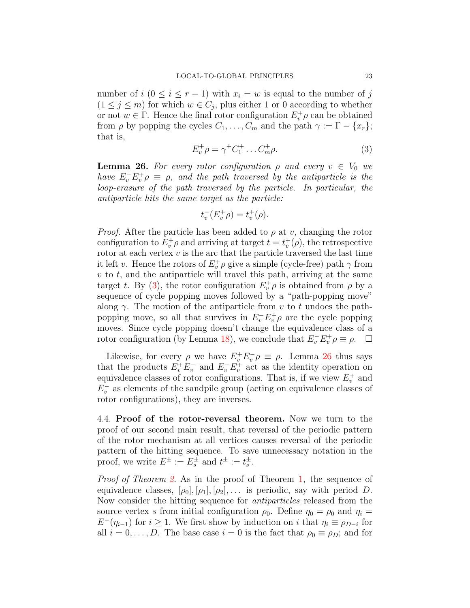number of  $i$  ( $0 \le i \le r-1$ ) with  $x_i = w$  is equal to the number of j  $(1 \leq j \leq m)$  for which  $w \in C_j$ , plus either 1 or 0 according to whether or not  $w \in \Gamma$ . Hence the final rotor configuration  $E_v^+ \rho$  can be obtained from  $\rho$  by popping the cycles  $C_1, \ldots, C_m$  and the path  $\gamma := \Gamma - \{x_r\};$ that is,

<span id="page-22-0"></span>
$$
E_v^+ \rho = \gamma^+ C_1^+ \dots C_m^+ \rho. \tag{3}
$$

<span id="page-22-1"></span>**Lemma 26.** For every rotor configuration  $\rho$  and every  $v \in V_0$  we have  $E_v^- E_v^+ \rho \equiv \rho$ , and the path traversed by the antiparticle is the loop-erasure of the path traversed by the particle. In particular, the antiparticle hits the same target as the particle:

$$
t_v^-(E_v^+\rho) = t_v^+(\rho).
$$

*Proof.* After the particle has been added to  $\rho$  at v, changing the rotor configuration to  $E_v^+ \rho$  and arriving at target  $t = t_v^+ (\rho)$ , the retrospective rotor at each vertex  $v$  is the arc that the particle traversed the last time it left v. Hence the rotors of  $E_v^+ \rho$  give a simple (cycle-free) path  $\gamma$  from  $v$  to  $t$ , and the antiparticle will travel this path, arriving at the same target t. By [\(3\)](#page-22-0), the rotor configuration  $E_v^+ \rho$  is obtained from  $\rho$  by a sequence of cycle popping moves followed by a "path-popping move" along  $\gamma$ . The motion of the antiparticle from v to t undoes the pathpopping move, so all that survives in  $E_v^- E_v^+ \rho$  are the cycle popping moves. Since cycle popping doesn't change the equivalence class of a rotor configuration (by Lemma [18\)](#page-15-3), we conclude that  $E_v^- E_v^+ \rho \equiv \rho$ .  $\Box$ 

Likewise, for every  $\rho$  we have  $E_v^+ E_v^- \rho \equiv \rho$ . Lemma [26](#page-22-1) thus says that the products  $E_v^+ E_v^-$  and  $E_v^- E_v^+$  act as the identity operation on equivalence classes of rotor configurations. That is, if we view  $E_v^+$  and  $E_v^-$  as elements of the sandpile group (acting on equivalence classes of rotor configurations), they are inverses.

4.4. Proof of the rotor-reversal theorem. Now we turn to the proof of our second main result, that reversal of the periodic pattern of the rotor mechanism at all vertices causes reversal of the periodic pattern of the hitting sequence. To save unnecessary notation in the proof, we write  $E^{\pm} := E_s^{\pm}$  and  $t^{\pm} := t_s^{\pm}$ .

Proof of Theorem [2.](#page-3-1) As in the proof of Theorem [1,](#page-2-0) the sequence of equivalence classes,  $[\rho_0], [\rho_1], [\rho_2], \ldots$  is periodic, say with period D. Now consider the hitting sequence for antiparticles released from the source vertex s from initial configuration  $\rho_0$ . Define  $\eta_0 = \rho_0$  and  $\eta_i =$  $E^-(\eta_{i-1})$  for  $i \geq 1$ . We first show by induction on i that  $\eta_i \equiv \rho_{D-i}$  for all  $i = 0, \ldots, D$ . The base case  $i = 0$  is the fact that  $\rho_0 \equiv \rho_D$ ; and for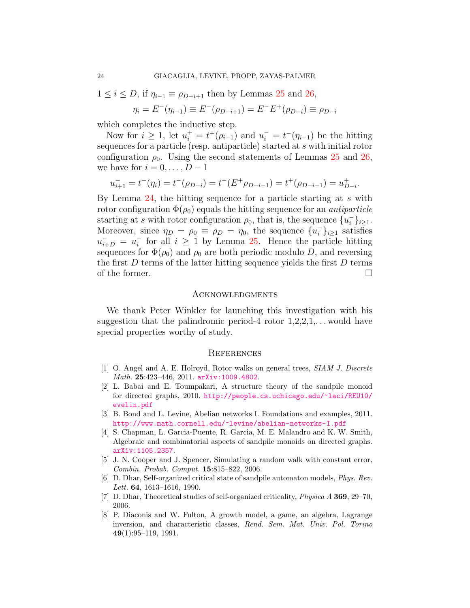$1 \leq i \leq D$ , if  $\eta_{i-1} \equiv \rho_{D-i+1}$  then by Lemmas [25](#page-21-0) and [26,](#page-22-1)

$$
\eta_i = E^-(\eta_{i-1}) \equiv E^-(\rho_{D-i+1}) = E^-E^+(\rho_{D-i}) \equiv \rho_{D-i}
$$

which completes the inductive step.

Now for  $i \geq 1$ , let  $u_i^+ = t^+(\rho_{i-1})$  and  $u_i^- = t^-(\eta_{i-1})$  be the hitting sequences for a particle (resp. antiparticle) started at s with initial rotor configuration  $\rho_0$ . Using the second statements of Lemmas [25](#page-21-0) and [26,](#page-22-1) we have for  $i = 0, \ldots, D - 1$ 

$$
u_{i+1}^- = t^-(\eta_i) = t^-(\rho_{D-i}) = t^-(E^+\rho_{D-i-1}) = t^+(\rho_{D-i-1}) = u_{D-i}^+.
$$

By Lemma [24,](#page-20-1) the hitting sequence for a particle starting at s with rotor configuration  $\Phi(\rho_0)$  equals the hitting sequence for an *antiparticle* starting at s with rotor configuration  $\rho_0$ , that is, the sequence  $\{u_i^-\}$  $\{-\}_{i\geq 1}$ . Moreover, since  $\eta_D = \rho_0 \equiv \rho_D = \eta_0$ , the sequence  $\{u_i^-\}$  $\binom{-}{i}$ <sub>i</sub> satisfies  $u_{i+D}^{-} = u_{i}^{-}$  $i$  for all  $i \geq 1$  by Lemma [25.](#page-21-0) Hence the particle hitting sequences for  $\Phi(\rho_0)$  and  $\rho_0$  are both periodic modulo D, and reversing the first  $D$  terms of the latter hitting sequence yields the first  $D$  terms of the former.

#### **ACKNOWLEDGMENTS**

We thank Peter Winkler for launching this investigation with his suggestion that the palindromic period-4 rotor  $1,2,2,1,\ldots$  would have special properties worthy of study.

#### **REFERENCES**

- <span id="page-23-3"></span>[1] O. Angel and A. E. Holroyd, Rotor walks on general trees, SIAM J. Discrete Math. 25:423–446, 2011. [arXiv:1009.4802](http://arxiv.org/abs/1009.4802).
- <span id="page-23-6"></span>[2] L. Babai and E. Toumpakari, A structure theory of the sandpile monoid for directed graphs, 2010. [http://people.cs.uchicago.edu/~laci/REU10/](http://people.cs.uchicago.edu/~laci/REU10/evelin.pdf) [evelin.pdf](http://people.cs.uchicago.edu/~laci/REU10/evelin.pdf)
- <span id="page-23-1"></span>[3] B. Bond and L. Levine, Abelian networks I. Foundations and examples, 2011. <http://www.math.cornell.edu/~levine/abelian-networks-I.pdf>
- <span id="page-23-7"></span>[4] S. Chapman, L. Garcia-Puente, R. Garcia, M. E. Malandro and K. W. Smith, Algebraic and combinatorial aspects of sandpile monoids on directed graphs. [arXiv:1105.2357](http://arxiv.org/abs/1105.2357).
- <span id="page-23-2"></span>[5] J. N. Cooper and J. Spencer, Simulating a random walk with constant error, Combin. Probab. Comput. 15:815–822, 2006.
- <span id="page-23-5"></span>[6] D. Dhar, Self-organized critical state of sandpile automaton models, Phys. Rev. Lett. 64, 1613–1616, 1990.
- <span id="page-23-0"></span>[7] D. Dhar, Theoretical studies of self-organized criticality, Physica A 369, 29–70, 2006.
- <span id="page-23-4"></span>[8] P. Diaconis and W. Fulton, A growth model, a game, an algebra, Lagrange inversion, and characteristic classes, Rend. Sem. Mat. Univ. Pol. Torino  $49(1):95-119, 1991.$